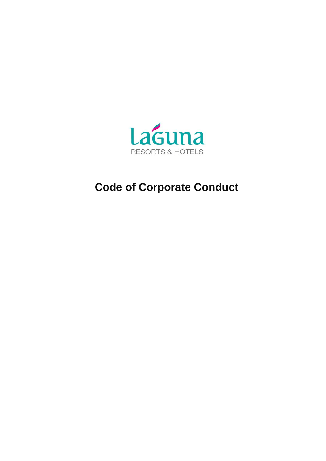

# **Code of Corporate Conduct**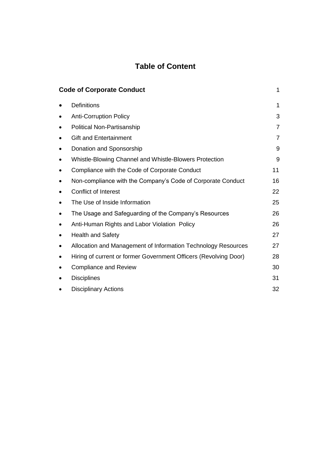# **Table of Content**

| <b>Code of Corporate Conduct</b><br>1 |                                                                  |                |  |  |
|---------------------------------------|------------------------------------------------------------------|----------------|--|--|
|                                       | <b>Definitions</b>                                               | 1              |  |  |
|                                       | <b>Anti-Corruption Policy</b>                                    | 3              |  |  |
|                                       | Political Non-Partisanship                                       | $\overline{7}$ |  |  |
|                                       | <b>Gift and Entertainment</b>                                    | $\overline{7}$ |  |  |
|                                       | Donation and Sponsorship                                         | 9              |  |  |
|                                       | Whistle-Blowing Channel and Whistle-Blowers Protection           | 9              |  |  |
|                                       | Compliance with the Code of Corporate Conduct                    | 11             |  |  |
|                                       | Non-compliance with the Company's Code of Corporate Conduct      | 16             |  |  |
|                                       | Conflict of Interest                                             | 22             |  |  |
|                                       | The Use of Inside Information                                    | 25             |  |  |
|                                       | The Usage and Safeguarding of the Company's Resources            | 26             |  |  |
|                                       | Anti-Human Rights and Labor Violation Policy                     | 26             |  |  |
|                                       | <b>Health and Safety</b>                                         | 27             |  |  |
|                                       | Allocation and Management of Information Technology Resources    | 27             |  |  |
|                                       | Hiring of current or former Government Officers (Revolving Door) | 28             |  |  |
|                                       | <b>Compliance and Review</b>                                     | 30             |  |  |
|                                       | <b>Disciplines</b>                                               | 31             |  |  |
|                                       | <b>Disciplinary Actions</b>                                      | 32             |  |  |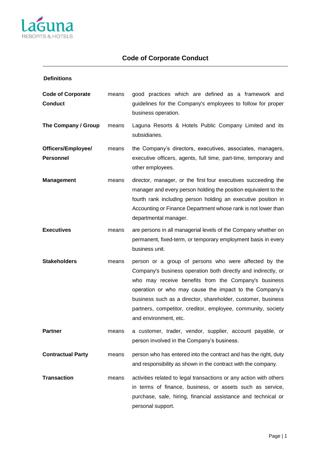

| <b>Definitions</b>                         |       |                                                                                                                                                                                                                                                                                                                                                                                                   |  |
|--------------------------------------------|-------|---------------------------------------------------------------------------------------------------------------------------------------------------------------------------------------------------------------------------------------------------------------------------------------------------------------------------------------------------------------------------------------------------|--|
| <b>Code of Corporate</b><br><b>Conduct</b> | means | good practices which are defined as a framework and<br>guidelines for the Company's employees to follow for proper<br>business operation.                                                                                                                                                                                                                                                         |  |
| The Company / Group                        | means | Laguna Resorts & Hotels Public Company Limited and its<br>subsidiaries.                                                                                                                                                                                                                                                                                                                           |  |
| Officers/Employee/<br><b>Personnel</b>     | means | the Company's directors, executives, associates, managers,<br>executive officers, agents, full time, part-time, temporary and<br>other employees.                                                                                                                                                                                                                                                 |  |
| <b>Management</b>                          | means | director, manager, or the first four executives succeeding the<br>manager and every person holding the position equivalent to the<br>fourth rank including person holding an executive position in<br>Accounting or Finance Department whose rank is not lower than<br>departmental manager.                                                                                                      |  |
| <b>Executives</b>                          | means | are persons in all managerial levels of the Company whether on<br>permanent, fixed-term, or temporary employment basis in every<br>business unit.                                                                                                                                                                                                                                                 |  |
| <b>Stakeholders</b>                        | means | person or a group of persons who were affected by the<br>Company's business operation both directly and indirectly, or<br>who may receive benefits from the Company's business<br>operation or who may cause the impact to the Company's<br>business such as a director, shareholder, customer, business<br>partners, competitor, creditor, employee, community, society<br>and environment, etc. |  |
| <b>Partner</b>                             | means | a customer, trader, vendor, supplier, account payable, or<br>person involved in the Company's business.                                                                                                                                                                                                                                                                                           |  |
| <b>Contractual Party</b>                   | means | person who has entered into the contract and has the right, duty<br>and responsibility as shown in the contract with the company.                                                                                                                                                                                                                                                                 |  |
| <b>Transaction</b>                         | means | activities related to legal transactions or any action with others<br>in terms of finance, business, or assets such as service,<br>purchase, sale, hiring, financial assistance and technical or<br>personal support.                                                                                                                                                                             |  |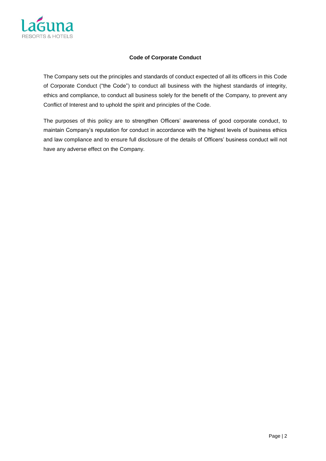

# **Code of Corporate Conduct**

The Company sets out the principles and standards of conduct expected of all its officers in this Code of Corporate Conduct ("the Code") to conduct all business with the highest standards of integrity, ethics and compliance, to conduct all business solely for the benefit of the Company, to prevent any Conflict of Interest and to uphold the spirit and principles of the Code.

The purposes of this policy are to strengthen Officers' awareness of good corporate conduct, to maintain Company's reputation for conduct in accordance with the highest levels of business ethics and law compliance and to ensure full disclosure of the details of Officers' business conduct will not have any adverse effect on the Company.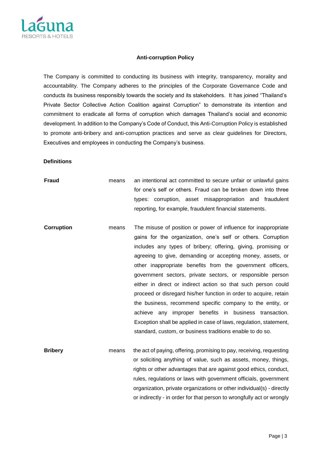

#### **Anti-corruption Policy**

The Company is committed to conducting its business with integrity, transparency, morality and accountability. The Company adheres to the principles of the Corporate Governance Code and conducts its business responsibly towards the society and its stakeholders. It has joined "Thailand's Private Sector Collective Action Coalition against Corruption" to demonstrate its intention and commitment to eradicate all forms of corruption which damages Thailand's social and economic development. In addition to the Company's Code of Conduct, this Anti-Corruption Policy is established to promote anti-bribery and anti-corruption practices and serve as clear guidelines for Directors, Executives and employees in conducting the Company's business.

#### **Definitions**

**Fraud means** an intentional act committed to secure unfair or unlawful gains for one's self or others. Fraud can be broken down into three types: corruption, asset misappropriation and fraudulent reporting, for example, fraudulent financial statements.

- **Corruption** means The misuse of position or power of influence for inappropriate gains for the organization, one's self or others. Corruption includes any types of bribery; offering, giving, promising or agreeing to give, demanding or accepting money, assets, or other inappropriate benefits from the government officers, government sectors, private sectors, or responsible person either in direct or indirect action so that such person could proceed or disregard his/her function in order to acquire, retain the business, recommend specific company to the entity, or achieve any improper benefits in business transaction. Exception shall be applied in case of laws, regulation, statement, standard, custom, or business traditions enable to do so.
- **Bribery** means the act of paying, offering, promising to pay, receiving, requesting or soliciting anything of value, such as assets, money, things, rights or other advantages that are against good ethics, conduct, rules, regulations or laws with government officials, government organization, private organizations or other individual(s) - directly or indirectly - in order for that person to wrongfully act or wrongly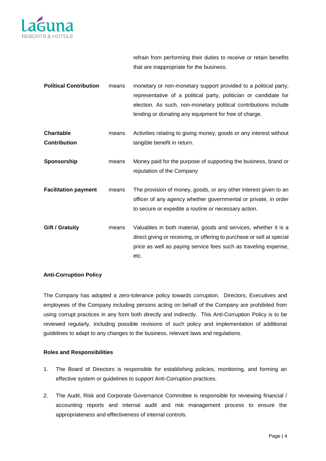

refrain from performing their duties to receive or retain benefits that are inappropriate for the business.

| <b>Political Contribution</b>            | means | monetary or non-monetary support provided to a political party,<br>representative of a political party, politician or candidate for<br>election. As such, non-monetary political contributions include<br>lending or donating any equipment for free of charge. |
|------------------------------------------|-------|-----------------------------------------------------------------------------------------------------------------------------------------------------------------------------------------------------------------------------------------------------------------|
| <b>Charitable</b><br><b>Contribution</b> | means | Activities relating to giving money, goods or any interest without<br>tangible benefit in return.                                                                                                                                                               |
| Sponsorship                              | means | Money paid for the purpose of supporting the business, brand or<br>reputation of the Company                                                                                                                                                                    |
| <b>Facilitation payment</b>              | means | The provision of money, goods, or any other interest given to an<br>officer of any agency whether governmental or private, in order<br>to secure or expedite a routine or necessary action.                                                                     |
| <b>Gift / Gratuity</b>                   | means | Valuables in both material, goods and services, whether it is a<br>direct giving or receiving, or offering to purchase or sell at special<br>price as well as paying service fees such as traveling expense,<br>etc.                                            |

# **Anti-Corruption Policy**

The Company has adopted a zero-tolerance policy towards corruption. Directors, Executives and employees of the Company including persons acting on behalf of the Company are prohibited from using corrupt practices in any form both directly and indirectly. This Anti-Corruption Policy is to be reviewed regularly, including possible revisions of such policy and implementation of additional guidelines to adapt to any changes to the business, relevant laws and regulations.

# **Roles and Responsibilities**

- 1. The Board of Directors is responsible for establishing policies, monitoring, and forming an effective system or guidelines to support Anti-Corruption practices.
- 2. The Audit, Risk and Corporate Governance Committee is responsible for reviewing financial / accounting reports and internal audit and risk management process to ensure the appropriateness and effectiveness of internal controls.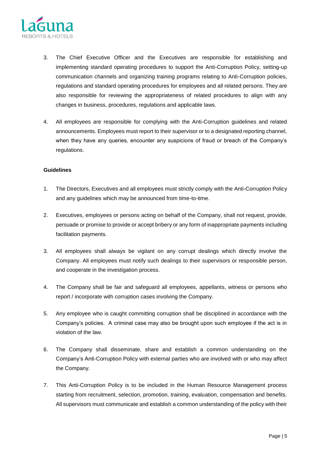

- 3. The Chief Executive Officer and the Executives are responsible for establishing and implementing standard operating procedures to support the Anti-Corruption Policy, setting-up communication channels and organizing training programs relating to Anti-Corruption policies, regulations and standard operating procedures for employees and all related persons. They are also responsible for reviewing the appropriateness of related procedures to align with any changes in business, procedures, regulations and applicable laws.
- 4. All employees are responsible for complying with the Anti-Corruption guidelines and related announcements. Employees must report to their supervisor or to a designated reporting channel, when they have any queries, encounter any suspicions of fraud or breach of the Company's regulations.

- 1. The Directors, Executives and all employees must strictly comply with the Anti-Corruption Policy and any guidelines which may be announced from time-to-time.
- 2. Executives, employees or persons acting on behalf of the Company, shall not request, provide, persuade or promise to provide or accept bribery or any form of inappropriate payments including facilitation payments.
- 3. All employees shall always be vigilant on any corrupt dealings which directly involve the Company. All employees must notify such dealings to their supervisors or responsible person, and cooperate in the investigation process.
- 4. The Company shall be fair and safeguard all employees, appellants, witness or persons who report / incorporate with corruption cases involving the Company.
- 5. Any employee who is caught committing corruption shall be disciplined in accordance with the Company's policies. A criminal case may also be brought upon such employee if the act is in violation of the law.
- 6. The Company shall disseminate, share and establish a common understanding on the Company's Anti-Corruption Policy with external parties who are involved with or who may affect the Company.
- 7. This Anti-Corruption Policy is to be included in the Human Resource Management process starting from recruitment, selection, promotion, training, evaluation, compensation and benefits. All supervisors must communicate and establish a common understanding of the policy with their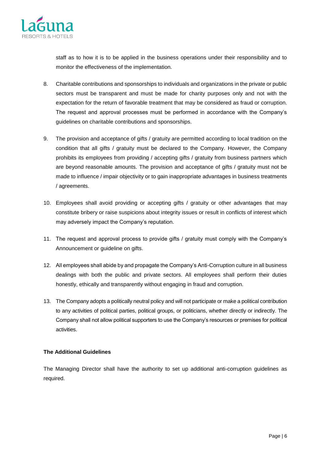

staff as to how it is to be applied in the business operations under their responsibility and to monitor the effectiveness of the implementation.

- 8. Charitable contributions and sponsorships to individuals and organizations in the private or public sectors must be transparent and must be made for charity purposes only and not with the expectation for the return of favorable treatment that may be considered as fraud or corruption. The request and approval processes must be performed in accordance with the Company's guidelines on charitable contributions and sponsorships.
- 9. The provision and acceptance of gifts / gratuity are permitted according to local tradition on the condition that all gifts / gratuity must be declared to the Company. However, the Company prohibits its employees from providing / accepting gifts / gratuity from business partners which are beyond reasonable amounts. The provision and acceptance of gifts / gratuity must not be made to influence / impair objectivity or to gain inappropriate advantages in business treatments / agreements.
- 10. Employees shall avoid providing or accepting gifts / gratuity or other advantages that may constitute bribery or raise suspicions about integrity issues or result in conflicts of interest which may adversely impact the Company's reputation.
- 11. The request and approval process to provide gifts / gratuity must comply with the Company's Announcement or guideline on gifts.
- 12. All employees shall abide by and propagate the Company's Anti-Corruption culture in all business dealings with both the public and private sectors. All employees shall perform their duties honestly, ethically and transparently without engaging in fraud and corruption.
- 13. The Company adopts a politically neutral policy and will not participate or make a political contribution to any activities of political parties, political groups, or politicians, whether directly or indirectly. The Company shall not allow political supporters to use the Company's resources or premises for political activities.

# **The Additional Guidelines**

The Managing Director shall have the authority to set up additional anti-corruption guidelines as required.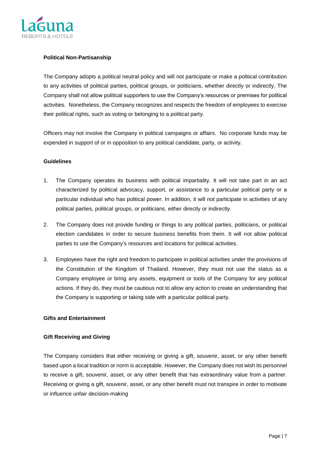

# **Political Non-Partisanship**

The Company adopts a political neutral policy and will not participate or make a political contribution to any activities of political parties, political groups, or politicians, whether directly or indirectly. The Company shall not allow political supporters to use the Company's resources or premises for political activities. Nonetheless, the Company recognizes and respects the freedom of employees to exercise their political rights, such as voting or belonging to a political party.

Officers may not involve the Company in political campaigns or affairs. No corporate funds may be expended in support of or in opposition to any political candidate, party, or activity.

# **Guidelines**

- 1. The Company operates its business with political impartiality. It will not take part in an act characterized by political advocacy, support, or assistance to a particular political party or a particular individual who has political power. In addition, it will not participate in activities of any political parties, political groups, or politicians, either directly or indirectly.
- 2. The Company does not provide funding or things to any political parties, politicians, or political election candidates in order to secure business benefits from them. It will not allow political parties to use the Company's resources and locations for political activities.
- 3. Employees have the right and freedom to participate in political activities under the provisions of the Constitution of the Kingdom of Thailand. However, they must not use the status as a Company employee or bring any assets, equipment or tools of the Company for any political actions. If they do, they must be cautious not to allow any action to create an understanding that the Company is supporting or taking side with a particular political party.

#### **Gifts and Entertainment**

# **Gift Receiving and Giving**

The Company considers that either receiving or giving a gift, souvenir, asset, or any other benefit based upon a local tradition or norm is acceptable. However, the Company does not wish its personnel to receive a gift, souvenir, asset, or any other benefit that has extraordinary value from a partner. Receiving or giving a gift, souvenir, asset, or any other benefit must not transpire in order to motivate or influence unfair decision-making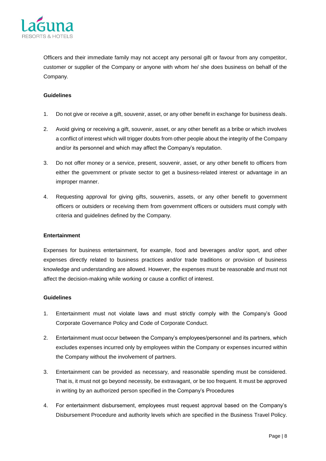

Officers and their immediate family may not accept any personal gift or favour from any competitor, customer or supplier of the Company or anyone with whom he/ she does business on behalf of the Company.

#### **Guidelines**

- 1. Do not give or receive a gift, souvenir, asset, or any other benefit in exchange for business deals.
- 2. Avoid giving or receiving a gift, souvenir, asset, or any other benefit as a bribe or which involves a conflict of interest which will trigger doubts from other people about the integrity of the Company and/or its personnel and which may affect the Company's reputation.
- 3. Do not offer money or a service, present, souvenir, asset, or any other benefit to officers from either the government or private sector to get a business-related interest or advantage in an improper manner.
- 4. Requesting approval for giving gifts, souvenirs, assets, or any other benefit to government officers or outsiders or receiving them from government officers or outsiders must comply with criteria and guidelines defined by the Company.

#### **Entertainment**

Expenses for business entertainment, for example, food and beverages and/or sport, and other expenses directly related to business practices and/or trade traditions or provision of business knowledge and understanding are allowed. However, the expenses must be reasonable and must not affect the decision-making while working or cause a conflict of interest.

- 1. Entertainment must not violate laws and must strictly comply with the Company's Good Corporate Governance Policy and Code of Corporate Conduct.
- 2. Entertainment must occur between the Company's employees/personnel and its partners, which excludes expenses incurred only by employees within the Company or expenses incurred within the Company without the involvement of partners.
- 3. Entertainment can be provided as necessary, and reasonable spending must be considered. That is, it must not go beyond necessity, be extravagant, or be too frequent. It must be approved in writing by an authorized person specified in the Company's Procedures
- 4. For entertainment disbursement, employees must request approval based on the Company's Disbursement Procedure and authority levels which are specified in the Business Travel Policy.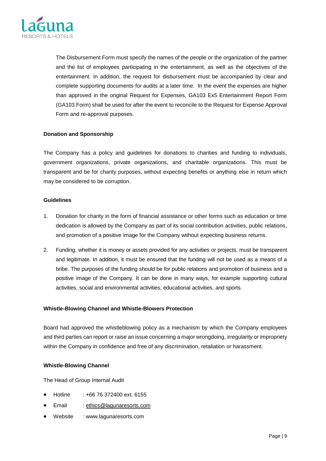

The Disbursement Form must specify the names of the people or the organization of the partner and the list of employees participating in the entertainment, as well as the objectives of the entertainment. In addition, the request for disbursement must be accompanied by clear and complete supporting documents for audits at a later time. In the event the expenses are higher than approved in the original Request for Expenses, GA103 Ex5 Entertainment Report Form (GA103 Form) shall be used for after the event to reconcile to the Request for Expense Approval Form and re-approval purposes.

# **Donation and Sponsorship**

The Company has a policy and guidelines for donations to charities and funding to individuals, government organizations, private organizations, and charitable organizations. This must be transparent and be for charity purposes, without expecting benefits or anything else in return which may be considered to be corruption.

#### **Guidelines**

- 1. Donation for charity in the form of financial assistance or other forms such as education or time dedication is allowed by the Company as part of its social contribution activities, public relations, and promotion of a positive image for the Company without expecting business returns.
- 2. Funding, whether it is money or assets provided for any activities or projects, must be transparent and legitimate. In addition, it must be ensured that the funding will not be used as a means of a bribe. The purposes of the funding should be for public relations and promotion of business and a positive image of the Company. It can be done in many ways, for example supporting cultural activities, social and environmental activities, educational activities, and sports.

# **Whistle-Blowing Channel and Whistle-Blowers Protection**

Board had approved the whistleblowing policy as a mechanism by which the Company employees and third parties can report or raise an issue concerning a major wrongdoing, irregularity or impropriety within the Company in confidence and free of any discrimination, retaliation or harassment.

# **Whistle-Blowing Channel**

The Head of Group Internal Audit

- Hotline : +66 76 372400 ext. 6155
- Email : [ethics@lagunaresorts.com](mailto:ethics@lagunaresorts.com)
- Website : www.lagunaresorts.com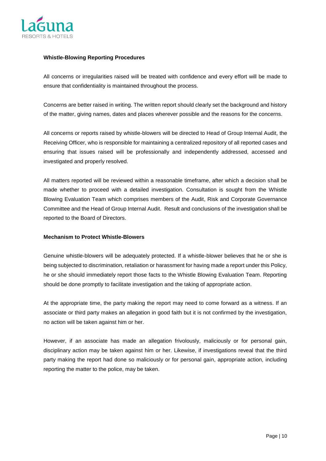

#### **Whistle-Blowing Reporting Procedures**

All concerns or irregularities raised will be treated with confidence and every effort will be made to ensure that confidentiality is maintained throughout the process.

Concerns are better raised in writing. The written report should clearly set the background and history of the matter, giving names, dates and places wherever possible and the reasons for the concerns.

All concerns or reports raised by whistle-blowers will be directed to Head of Group Internal Audit, the Receiving Officer, who is responsible for maintaining a centralized repository of all reported cases and ensuring that issues raised will be professionally and independently addressed, accessed and investigated and properly resolved.

All matters reported will be reviewed within a reasonable timeframe, after which a decision shall be made whether to proceed with a detailed investigation. Consultation is sought from the Whistle Blowing Evaluation Team which comprises members of the Audit, Risk and Corporate Governance Committee and the Head of Group Internal Audit. Result and conclusions of the investigation shall be reported to the Board of Directors.

# **Mechanism to Protect Whistle-Blowers**

Genuine whistle-blowers will be adequately protected. If a whistle-blower believes that he or she is being subjected to discrimination, retaliation or harassment for having made a report under this Policy, he or she should immediately report those facts to the Whistle Blowing Evaluation Team. Reporting should be done promptly to facilitate investigation and the taking of appropriate action.

At the appropriate time, the party making the report may need to come forward as a witness. If an associate or third party makes an allegation in good faith but it is not confirmed by the investigation, no action will be taken against him or her.

However, if an associate has made an allegation frivolously, maliciously or for personal gain, disciplinary action may be taken against him or her. Likewise, if investigations reveal that the third party making the report had done so maliciously or for personal gain, appropriate action, including reporting the matter to the police, may be taken.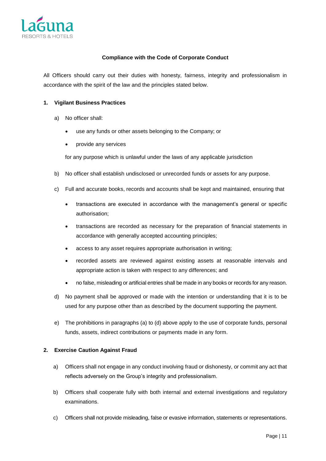

# **Compliance with the Code of Corporate Conduct**

All Officers should carry out their duties with honesty, fairness, integrity and professionalism in accordance with the spirit of the law and the principles stated below.

#### **1. Vigilant Business Practices**

- a) No officer shall:
	- use any funds or other assets belonging to the Company; or
	- provide any services

for any purpose which is unlawful under the laws of any applicable jurisdiction

- b) No officer shall establish undisclosed or unrecorded funds or assets for any purpose.
- c) Full and accurate books, records and accounts shall be kept and maintained, ensuring that
	- transactions are executed in accordance with the management's general or specific authorisation;
	- transactions are recorded as necessary for the preparation of financial statements in accordance with generally accepted accounting principles;
	- access to any asset requires appropriate authorisation in writing;
	- recorded assets are reviewed against existing assets at reasonable intervals and appropriate action is taken with respect to any differences; and
	- no false, misleading or artificial entries shall be made in any books or records for any reason.
- d) No payment shall be approved or made with the intention or understanding that it is to be used for any purpose other than as described by the document supporting the payment.
- e) The prohibitions in paragraphs (a) to (d) above apply to the use of corporate funds, personal funds, assets, indirect contributions or payments made in any form.

#### **2. Exercise Caution Against Fraud**

- a) Officers shall not engage in any conduct involving fraud or dishonesty, or commit any act that reflects adversely on the Group's integrity and professionalism.
- b) Officers shall cooperate fully with both internal and external investigations and regulatory examinations.
- c) Officers shall not provide misleading, false or evasive information, statements or representations.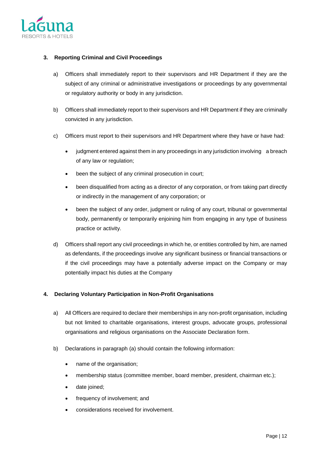

# **3. Reporting Criminal and Civil Proceedings**

- a) Officers shall immediately report to their supervisors and HR Department if they are the subject of any criminal or administrative investigations or proceedings by any governmental or regulatory authority or body in any jurisdiction.
- b) Officers shall immediately report to their supervisors and HR Department if they are criminally convicted in any jurisdiction.
- c) Officers must report to their supervisors and HR Department where they have or have had:
	- judgment entered against them in any proceedings in any jurisdiction involving a breach of any law or regulation;
	- been the subject of any criminal prosecution in court;
	- been disqualified from acting as a director of any corporation, or from taking part directly or indirectly in the management of any corporation; or
	- been the subject of any order, judgment or ruling of any court, tribunal or governmental body, permanently or temporarily enjoining him from engaging in any type of business practice or activity.
- d) Officers shall report any civil proceedings in which he, or entities controlled by him, are named as defendants, if the proceedings involve any significant business or financial transactions or if the civil proceedings may have a potentially adverse impact on the Company or may potentially impact his duties at the Company

# **4. Declaring Voluntary Participation in Non-Profit Organisations**

- a) All Officers are required to declare their memberships in any non-profit organisation, including but not limited to charitable organisations, interest groups, advocate groups, professional organisations and religious organisations on the Associate Declaration form.
- b) Declarations in paragraph (a) should contain the following information:
	- name of the organisation;
	- membership status (committee member, board member, president, chairman etc.);
	- date joined;
	- frequency of involvement; and
	- considerations received for involvement.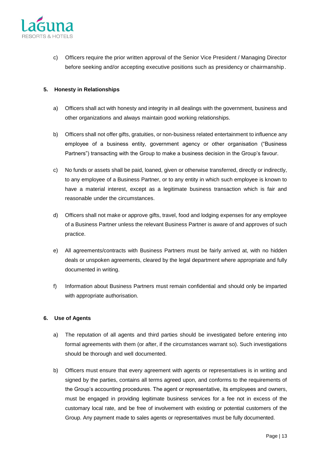

c) Officers require the prior written approval of the Senior Vice President / Managing Director before seeking and/or accepting executive positions such as presidency or chairmanship.

# **5. Honesty in Relationships**

- a) Officers shall act with honesty and integrity in all dealings with the government, business and other organizations and always maintain good working relationships.
- b) Officers shall not offer gifts, gratuities, or non-business related entertainment to influence any employee of a business entity, government agency or other organisation ("Business Partners") transacting with the Group to make a business decision in the Group's favour.
- c) No funds or assets shall be paid, loaned, given or otherwise transferred, directly or indirectly, to any employee of a Business Partner, or to any entity in which such employee is known to have a material interest, except as a legitimate business transaction which is fair and reasonable under the circumstances.
- d) Officers shall not make or approve gifts, travel, food and lodging expenses for any employee of a Business Partner unless the relevant Business Partner is aware of and approves of such practice.
- e) All agreements/contracts with Business Partners must be fairly arrived at, with no hidden deals or unspoken agreements, cleared by the legal department where appropriate and fully documented in writing.
- f) Information about Business Partners must remain confidential and should only be imparted with appropriate authorisation.

# **6. Use of Agents**

- a) The reputation of all agents and third parties should be investigated before entering into formal agreements with them (or after, if the circumstances warrant so). Such investigations should be thorough and well documented.
- b) Officers must ensure that every agreement with agents or representatives is in writing and signed by the parties, contains all terms agreed upon, and conforms to the requirements of the Group's accounting procedures. The agent or representative, its employees and owners, must be engaged in providing legitimate business services for a fee not in excess of the customary local rate, and be free of involvement with existing or potential customers of the Group. Any payment made to sales agents or representatives must be fully documented.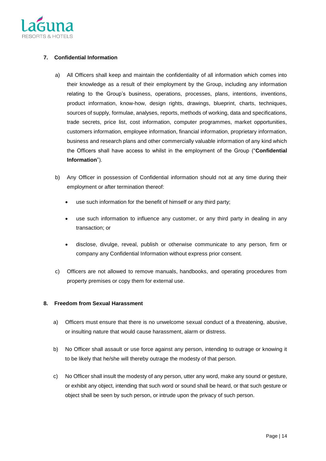

# **7. Confidential Information**

- a) All Officers shall keep and maintain the confidentiality of all information which comes into their knowledge as a result of their employment by the Group, including any information relating to the Group's business, operations, processes, plans, intentions, inventions, product information, know-how, design rights, drawings, blueprint, charts, techniques, sources of supply, formulae, analyses, reports, methods of working, data and specifications, trade secrets, price list, cost information, computer programmes, market opportunities, customers information, employee information, financial information, proprietary information, business and research plans and other commercially valuable information of any kind which the Officers shall have access to whilst in the employment of the Group ("**Confidential Information**").
- b) Any Officer in possession of Confidential information should not at any time during their employment or after termination thereof:
	- use such information for the benefit of himself or any third party;
	- use such information to influence any customer, or any third party in dealing in any transaction; or
	- disclose, divulge, reveal, publish or otherwise communicate to any person, firm or company any Confidential Information without express prior consent.
- c) Officers are not allowed to remove manuals, handbooks, and operating procedures from property premises or copy them for external use.

# **8. Freedom from Sexual Harassment**

- a) Officers must ensure that there is no unwelcome sexual conduct of a threatening, abusive, or insulting nature that would cause harassment, alarm or distress.
- b) No Officer shall assault or use force against any person, intending to outrage or knowing it to be likely that he/she will thereby outrage the modesty of that person.
- c) No Officer shall insult the modesty of any person, utter any word, make any sound or gesture, or exhibit any object, intending that such word or sound shall be heard, or that such gesture or object shall be seen by such person, or intrude upon the privacy of such person.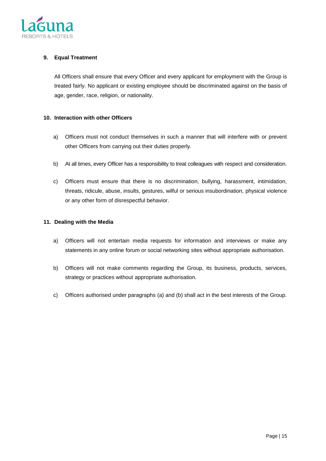

# **9. Equal Treatment**

All Officers shall ensure that every Officer and every applicant for employment with the Group is treated fairly. No applicant or existing employee should be discriminated against on the basis of age, gender, race, religion, or nationality.

# **10. Interaction with other Officers**

- a) Officers must not conduct themselves in such a manner that will interfere with or prevent other Officers from carrying out their duties properly.
- b) At all times, every Officer has a responsibility to treat colleagues with respect and consideration.
- c) Officers must ensure that there is no discrimination, bullying, harassment, intimidation, threats, ridicule, abuse, insults, gestures, wilful or serious insubordination, physical violence or any other form of disrespectful behavior.

#### **11. Dealing with the Media**

- a) Officers will not entertain media requests for information and interviews or make any statements in any online forum or social networking sites without appropriate authorisation.
- b) Officers will not make comments regarding the Group, its business, products, services, strategy or practices without appropriate authorisation.
- c) Officers authorised under paragraphs (a) and (b) shall act in the best interests of the Group.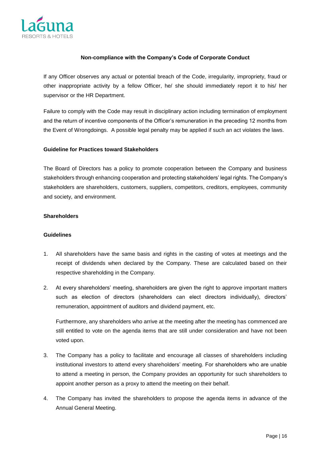

#### **Non-compliance with the Company's Code of Corporate Conduct**

If any Officer observes any actual or potential breach of the Code, irregularity, impropriety, fraud or other inappropriate activity by a fellow Officer, he/ she should immediately report it to his/ her supervisor or the HR Department.

Failure to comply with the Code may result in disciplinary action including termination of employment and the return of incentive components of the Officer's remuneration in the preceding 12 months from the Event of Wrongdoings. A possible legal penalty may be applied if such an act violates the laws.

#### **Guideline for Practices toward Stakeholders**

The Board of Directors has a policy to promote cooperation between the Company and business stakeholders through enhancing cooperation and protecting stakeholders' legal rights. The Company's stakeholders are shareholders, customers, suppliers, competitors, creditors, employees, community and society, and environment.

#### **Shareholders**

#### **Guidelines**

- 1. All shareholders have the same basis and rights in the casting of votes at meetings and the receipt of dividends when declared by the Company. These are calculated based on their respective shareholding in the Company.
- 2. At every shareholders' meeting, shareholders are given the right to approve important matters such as election of directors (shareholders can elect directors individually), directors' remuneration, appointment of auditors and dividend payment, etc.

Furthermore, any shareholders who arrive at the meeting after the meeting has commenced are still entitled to vote on the agenda items that are still under consideration and have not been voted upon.

- 3. The Company has a policy to facilitate and encourage all classes of shareholders including institutional investors to attend every shareholders' meeting. For shareholders who are unable to attend a meeting in person, the Company provides an opportunity for such shareholders to appoint another person as a proxy to attend the meeting on their behalf.
- 4. The Company has invited the shareholders to propose the agenda items in advance of the Annual General Meeting.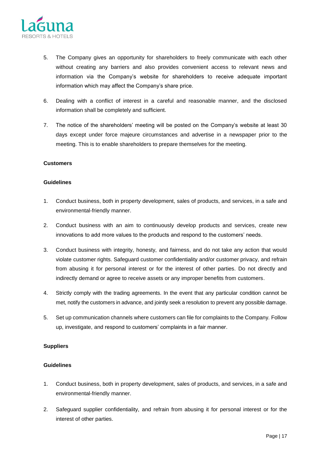

- 5. The Company gives an opportunity for shareholders to freely communicate with each other without creating any barriers and also provides convenient access to relevant news and information via the Company's website for shareholders to receive adequate important information which may affect the Company's share price.
- 6. Dealing with a conflict of interest in a careful and reasonable manner, and the disclosed information shall be completely and sufficient.
- 7. The notice of the shareholders' meeting will be posted on the Company's website at least 30 days except under force majeure circumstances and advertise in a newspaper prior to the meeting. This is to enable shareholders to prepare themselves for the meeting.

#### **Customers**

#### **Guidelines**

- 1. Conduct business, both in property development, sales of products, and services, in a safe and environmental-friendly manner.
- 2. Conduct business with an aim to continuously develop products and services, create new innovations to add more values to the products and respond to the customers' needs.
- 3. Conduct business with integrity, honesty, and fairness, and do not take any action that would violate customer rights. Safeguard customer confidentiality and/or customer privacy, and refrain from abusing it for personal interest or for the interest of other parties. Do not directly and indirectly demand or agree to receive assets or any improper benefits from customers.
- 4. Strictly comply with the trading agreements. In the event that any particular condition cannot be met, notify the customers in advance, and jointly seek a resolution to prevent any possible damage.
- 5. Set up communication channels where customers can file for complaints to the Company. Follow up, investigate, and respond to customers' complaints in a fair manner.

# **Suppliers**

- 1. Conduct business, both in property development, sales of products, and services, in a safe and environmental-friendly manner.
- 2. Safeguard supplier confidentiality, and refrain from abusing it for personal interest or for the interest of other parties.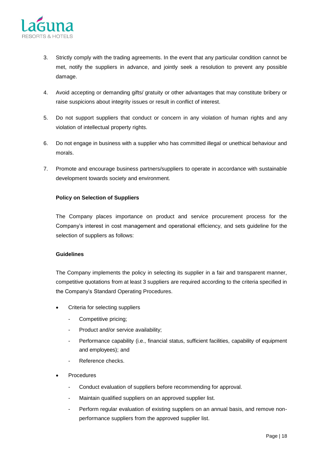

- 3. Strictly comply with the trading agreements. In the event that any particular condition cannot be met, notify the suppliers in advance, and jointly seek a resolution to prevent any possible damage.
- 4. Avoid accepting or demanding gifts/ gratuity or other advantages that may constitute bribery or raise suspicions about integrity issues or result in conflict of interest.
- 5. Do not support suppliers that conduct or concern in any violation of human rights and any violation of intellectual property rights.
- 6. Do not engage in business with a supplier who has committed illegal or unethical behaviour and morals.
- 7. Promote and encourage business partners/suppliers to operate in accordance with sustainable development towards society and environment.

# **Policy on Selection of Suppliers**

The Company places importance on product and service procurement process for the Company's interest in cost management and operational efficiency, and sets guideline for the selection of suppliers as follows:

# **Guidelines**

The Company implements the policy in selecting its supplier in a fair and transparent manner, competitive quotations from at least 3 suppliers are required according to the criteria specified in the Company's Standard Operating Procedures.

- Criteria for selecting suppliers
	- Competitive pricing;
	- Product and/or service availability;
	- Performance capability (i.e., financial status, sufficient facilities, capability of equipment and employees); and
	- Reference checks.
- **Procedures** 
	- Conduct evaluation of suppliers before recommending for approval.
	- Maintain qualified suppliers on an approved supplier list.
	- Perform regular evaluation of existing suppliers on an annual basis, and remove nonperformance suppliers from the approved supplier list.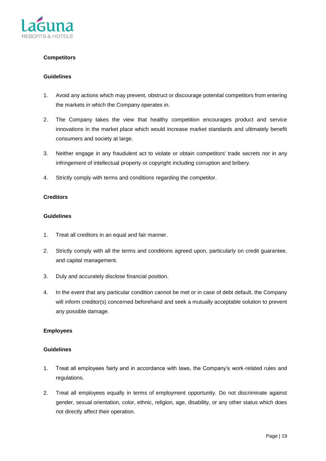

# **Competitors**

#### **Guidelines**

- 1. Avoid any actions which may prevent, obstruct or discourage potential competitors from entering the markets in which the Company operates in.
- 2. The Company takes the view that healthy competition encourages product and service innovations in the market place which would increase market standards and ultimately benefit consumers and society at large.
- 3. Neither engage in any fraudulent act to violate or obtain competitors' trade secrets nor in any infringement of intellectual property or copyright including corruption and bribery.
- 4. Strictly comply with terms and conditions regarding the competitor.

# **Creditors**

#### **Guidelines**

- 1. Treat all creditors in an equal and fair manner.
- 2. Strictly comply with all the terms and conditions agreed upon, particularly on credit guarantee, and capital management.
- 3. Duly and accurately disclose financial position.
- 4. In the event that any particular condition cannot be met or in case of debt default, the Company will inform creditor(s) concerned beforehand and seek a mutually acceptable solution to prevent any possible damage.

# **Employees**

- 1. Treat all employees fairly and in accordance with laws, the Company's work-related rules and regulations.
- 2. Treat all employees equally in terms of employment opportunity. Do not discriminate against gender, sexual orientation, color, ethnic, religion, age, disability, or any other status which does not directly affect their operation.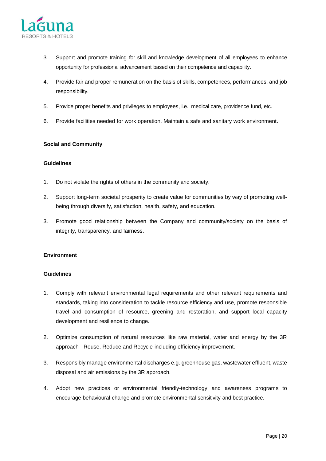

- 3. Support and promote training for skill and knowledge development of all employees to enhance opportunity for professional advancement based on their competence and capability.
- 4. Provide fair and proper remuneration on the basis of skills, competences, performances, and job responsibility.
- 5. Provide proper benefits and privileges to employees, i.e., medical care, providence fund, etc.
- 6. Provide facilities needed for work operation. Maintain a safe and sanitary work environment.

# **Social and Community**

#### **Guidelines**

- 1. Do not violate the rights of others in the community and society.
- 2. Support long-term societal prosperity to create value for communities by way of promoting wellbeing through diversify, satisfaction, health, safety, and education.
- 3. Promote good relationship between the Company and community/society on the basis of integrity, transparency, and fairness.

# **Environment**

- 1. Comply with relevant environmental legal requirements and other relevant requirements and standards, taking into consideration to tackle resource efficiency and use, promote responsible travel and consumption of resource, greening and restoration, and support local capacity development and resilience to change.
- 2. Optimize consumption of natural resources like raw material, water and energy by the 3R approach - Reuse, Reduce and Recycle including efficiency improvement.
- 3. Responsibly manage environmental discharges e.g. greenhouse gas, wastewater effluent, waste disposal and air emissions by the 3R approach.
- 4. Adopt new practices or environmental friendly-technology and awareness programs to encourage behavioural change and promote environmental sensitivity and best practice.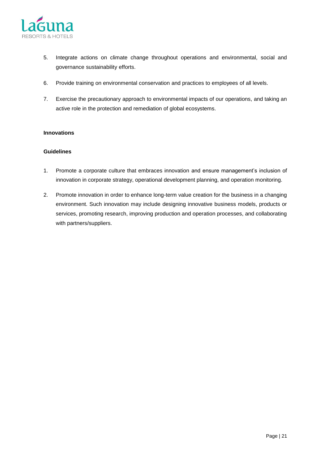

- 5. Integrate actions on climate change throughout operations and environmental, social and governance sustainability efforts.
- 6. Provide training on environmental conservation and practices to employees of all levels.
- 7. Exercise the precautionary approach to environmental impacts of our operations, and taking an active role in the protection and remediation of global ecosystems.

# **Innovations**

- 1. Promote a corporate culture that embraces innovation and ensure management's inclusion of innovation in corporate strategy, operational development planning, and operation monitoring.
- 2. Promote innovation in order to enhance long-term value creation for the business in a changing environment. Such innovation may include designing innovative business models, products or services, promoting research, improving production and operation processes, and collaborating with partners/suppliers.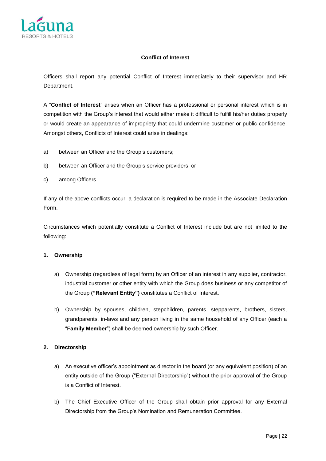

# **Conflict of Interest**

Officers shall report any potential Conflict of Interest immediately to their supervisor and HR Department.

A "**Conflict of Interest**" arises when an Officer has a professional or personal interest which is in competition with the Group's interest that would either make it difficult to fulfill his/her duties properly or would create an appearance of impropriety that could undermine customer or public confidence. Amongst others, Conflicts of Interest could arise in dealings:

- a) between an Officer and the Group's customers;
- b) between an Officer and the Group's service providers; or
- c) among Officers.

If any of the above conflicts occur, a declaration is required to be made in the Associate Declaration Form.

Circumstances which potentially constitute a Conflict of Interest include but are not limited to the following:

# **1. Ownership**

- a) Ownership (regardless of legal form) by an Officer of an interest in any supplier, contractor, industrial customer or other entity with which the Group does business or any competitor of the Group **("Relevant Entity")** constitutes a Conflict of Interest.
- b) Ownership by spouses, children, stepchildren, parents, stepparents, brothers, sisters, grandparents, in-laws and any person living in the same household of any Officer (each a "**Family Member**") shall be deemed ownership by such Officer.

# **2. Directorship**

- a) An executive officer's appointment as director in the board (or any equivalent position) of an entity outside of the Group ("External Directorship") without the prior approval of the Group is a Conflict of Interest.
- b) The Chief Executive Officer of the Group shall obtain prior approval for any External Directorship from the Group's Nomination and Remuneration Committee.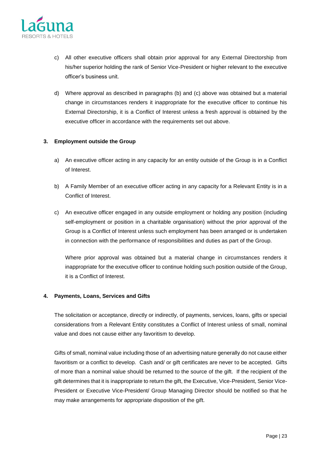

- c) All other executive officers shall obtain prior approval for any External Directorship from his/her superior holding the rank of Senior Vice-President or higher relevant to the executive officer's business unit.
- d) Where approval as described in paragraphs (b) and (c) above was obtained but a material change in circumstances renders it inappropriate for the executive officer to continue his External Directorship, it is a Conflict of Interest unless a fresh approval is obtained by the executive officer in accordance with the requirements set out above.

# **3. Employment outside the Group**

- a) An executive officer acting in any capacity for an entity outside of the Group is in a Conflict of Interest.
- b) A Family Member of an executive officer acting in any capacity for a Relevant Entity is in a Conflict of Interest.
- c) An executive officer engaged in any outside employment or holding any position (including self-employment or position in a charitable organisation) without the prior approval of the Group is a Conflict of Interest unless such employment has been arranged or is undertaken in connection with the performance of responsibilities and duties as part of the Group.

Where prior approval was obtained but a material change in circumstances renders it inappropriate for the executive officer to continue holding such position outside of the Group, it is a Conflict of Interest.

# **4. Payments, Loans, Services and Gifts**

The solicitation or acceptance, directly or indirectly, of payments, services, loans, gifts or special considerations from a Relevant Entity constitutes a Conflict of Interest unless of small, nominal value and does not cause either any favoritism to develop.

Gifts of small, nominal value including those of an advertising nature generally do not cause either favoritism or a conflict to develop. Cash and/ or gift certificates are never to be accepted. Gifts of more than a nominal value should be returned to the source of the gift. If the recipient of the gift determines that it is inappropriate to return the gift, the Executive, Vice-President, Senior Vice-President or Executive Vice-President/ Group Managing Director should be notified so that he may make arrangements for appropriate disposition of the gift.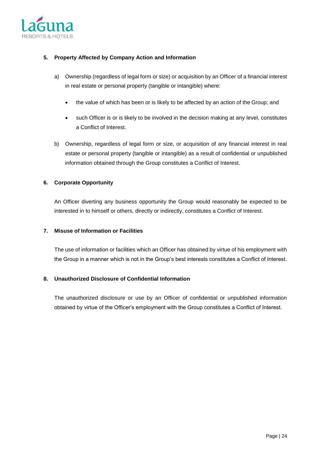

# **5. Property Affected by Company Action and Information**

- a) Ownership (regardless of legal form or size) or acquisition by an Officer of a financial interest in real estate or personal property (tangible or intangible) where:
	- the value of which has been or is likely to be affected by an action of the Group; and
	- such Officer is or is likely to be involved in the decision making at any level, constitutes a Conflict of Interest.
- b) Ownership, regardless of legal form or size, or acquisition of any financial interest in real estate or personal property (tangible or intangible) as a result of confidential or unpublished information obtained through the Group constitutes a Conflict of Interest.

# **6. Corporate Opportunity**

An Officer diverting any business opportunity the Group would reasonably be expected to be interested in to himself or others, directly or indirectly, constitutes a Conflict of Interest.

# **7. Misuse of Information or Facilities**

The use of information or facilities which an Officer has obtained by virtue of his employment with the Group in a manner which is not in the Group's best interests constitutes a Conflict of Interest.

# **8. Unauthorized Disclosure of Confidential Information**

The unauthorized disclosure or use by an Officer of confidential or unpublished information obtained by virtue of the Officer's employment with the Group constitutes a Conflict of Interest.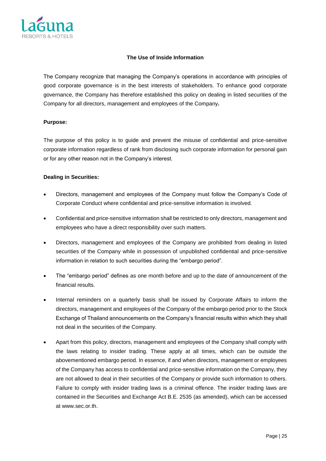

# **The Use of Inside Information**

The Company recognize that managing the Company's operations in accordance with principles of good corporate governance is in the best interests of stakeholders. To enhance good corporate governance, the Company has therefore established this policy on dealing in listed securities of the Company for all directors, management and employees of the Company**.**

#### **Purpose:**

The purpose of this policy is to guide and prevent the misuse of confidential and price-sensitive corporate information regardless of rank from disclosing such corporate information for personal gain or for any other reason not in the Company's interest.

# **Dealing in Securities:**

- Directors, management and employees of the Company must follow the Company's Code of Corporate Conduct where confidential and price-sensitive information is involved.
- Confidential and price-sensitive information shall be restricted to only directors, management and employees who have a direct responsibility over such matters.
- Directors, management and employees of the Company are prohibited from dealing in listed securities of the Company while in possession of unpublished confidential and price-sensitive information in relation to such securities during the "embargo period".
- The "embargo period" defines as one month before and up to the date of announcement of the financial results.
- Internal reminders on a quarterly basis shall be issued by Corporate Affairs to inform the directors, management and employees of the Company of the embargo period prior to the Stock Exchange of Thailand announcements on the Company's financial results within which they shall not deal in the securities of the Company.
- Apart from this policy, directors, management and employees of the Company shall comply with the laws relating to insider trading. These apply at all times, which can be outside the abovementioned embargo period. In essence, if and when directors, management or employees of the Company has access to confidential and price-sensitive information on the Company, they are not allowed to deal in their securities of the Company or provide such information to others. Failure to comply with insider trading laws is a criminal offence. The insider trading laws are contained in the Securities and Exchange Act B.E. 2535 (as amended), which can be accessed at www.sec.or.th.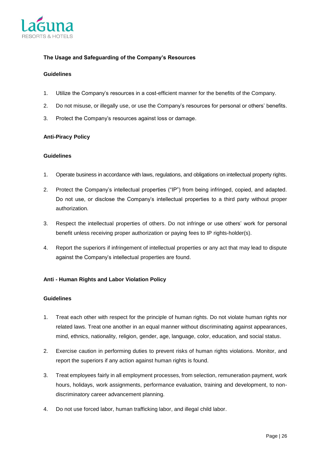

# **The Usage and Safeguarding of the Company's Resources**

#### **Guidelines**

- 1. Utilize the Company's resources in a cost-efficient manner for the benefits of the Company.
- 2. Do not misuse, or illegally use, or use the Company's resources for personal or others' benefits.
- 3. Protect the Company's resources against loss or damage.

# **Anti-Piracy Policy**

# **Guidelines**

- 1. Operate business in accordance with laws, regulations, and obligations on intellectual property rights.
- 2. Protect the Company's intellectual properties ("IP") from being infringed, copied, and adapted. Do not use, or disclose the Company's intellectual properties to a third party without proper authorization.
- 3. Respect the intellectual properties of others. Do not infringe or use others' work for personal benefit unless receiving proper authorization or paying fees to IP rights-holder(s).
- 4. Report the superiors if infringement of intellectual properties or any act that may lead to dispute against the Company's intellectual properties are found.

# **Anti - Human Rights and Labor Violation Policy**

- 1. Treat each other with respect for the principle of human rights. Do not violate human rights nor related laws. Treat one another in an equal manner without discriminating against appearances, mind, ethnics, nationality, religion, gender, age, language, color, education, and social status.
- 2. Exercise caution in performing duties to prevent risks of human rights violations. Monitor, and report the superiors if any action against human rights is found.
- 3. Treat employees fairly in all employment processes, from selection, remuneration payment, work hours, holidays, work assignments, performance evaluation, training and development, to nondiscriminatory career advancement planning.
- 4. Do not use forced labor, human trafficking labor, and illegal child labor.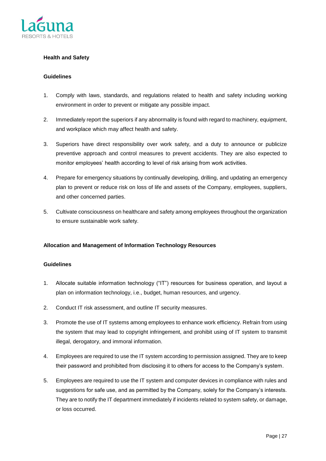

# **Health and Safety**

#### **Guidelines**

- 1. Comply with laws, standards, and regulations related to health and safety including working environment in order to prevent or mitigate any possible impact.
- 2. Immediately report the superiors if any abnormality is found with regard to machinery, equipment, and workplace which may affect health and safety.
- 3. Superiors have direct responsibility over work safety, and a duty to announce or publicize preventive approach and control measures to prevent accidents. They are also expected to monitor employees' health according to level of risk arising from work activities.
- 4. Prepare for emergency situations by continually developing, drilling, and updating an emergency plan to prevent or reduce risk on loss of life and assets of the Company, employees, suppliers, and other concerned parties.
- 5. Cultivate consciousness on healthcare and safety among employees throughout the organization to ensure sustainable work safety.

# **Allocation and Management of Information Technology Resources**

- 1. Allocate suitable information technology ("IT") resources for business operation, and layout a plan on information technology, i.e., budget, human resources, and urgency.
- 2. Conduct IT risk assessment, and outline IT security measures.
- 3. Promote the use of IT systems among employees to enhance work efficiency. Refrain from using the system that may lead to copyright infringement, and prohibit using of IT system to transmit illegal, derogatory, and immoral information.
- 4. Employees are required to use the IT system according to permission assigned. They are to keep their password and prohibited from disclosing it to others for access to the Company's system.
- 5. Employees are required to use the IT system and computer devices in compliance with rules and suggestions for safe use, and as permitted by the Company, solely for the Company's interests. They are to notify the IT department immediately if incidents related to system safety, or damage, or loss occurred.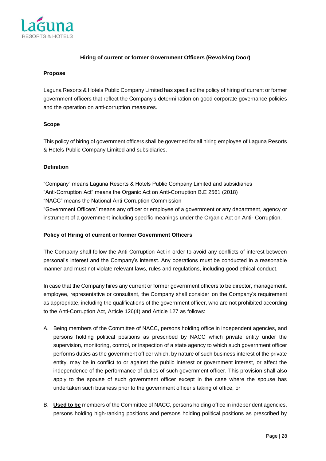

# **Hiring of current or former Government Officers (Revolving Door)**

#### **Propose**

Laguna Resorts & Hotels Public Company Limited has specified the policy of hiring of current or former government officers that reflect the Company's determination on good corporate governance policies and the operation on anti-corruption measures.

# **Scope**

This policy of hiring of government officers shall be governed for all hiring employee of Laguna Resorts & Hotels Public Company Limited and subsidiaries.

# **Definition**

"Company" means Laguna Resorts & Hotels Public Company Limited and subsidiaries "Anti-Corruption Act" means the Organic Act on Anti-Corruption B.E 2561 (2018) "NACC" means the National Anti-Corruption Commission "Government Officers" means [any officer](https://www.lawinsider.com/dictionary/government-official) or employee of a government or any department, agency or instrument of a government including specific meanings under the Organic Act on Anti- Corruption.

# **Policy of Hiring of current or former Government Officers**

The Company shall follow the Anti-Corruption Act in order to avoid any conflicts of interest between personal's interest and the Company's interest. Any operations must be conducted in a reasonable manner and must not violate relevant laws, rules and regulations, including good ethical conduct.

In case that the Company hires any current or former government officers to be director, management, employee, representative or consultant, the Company shall consider on the Company's requirement as appropriate, including the qualifications of the government officer, who are not prohibited according to the Anti-Corruption Act, Article 126(4) and Article 127 as follows:

- A. Being members of the Committee of NACC, persons holding office in independent agencies, and persons holding political positions as prescribed by NACC which private entity under the supervision, monitoring, control, or inspection of a state agency to which such government officer performs duties as the government officer which, by nature of such business interest of the private entity, may be in conflict to or against the public interest or government interest, or affect the independence of the performance of duties of such government officer. This provision shall also apply to the spouse of such government officer except in the case where the spouse has undertaken such business prior to the government officer's taking of office, or
- B. **Used to be** members of the Committee of NACC, persons holding office in independent agencies, persons holding high-ranking positions and persons holding political positions as prescribed by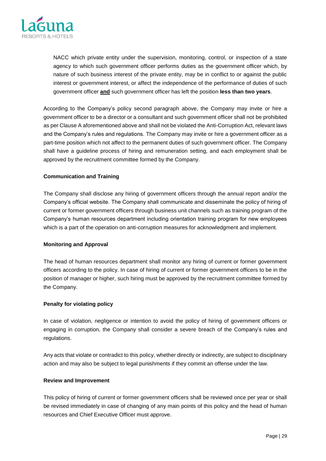

NACC which private entity under the supervision, monitoring, control, or inspection of a state agency to which such government officer performs duties as the government officer which, by nature of such business interest of the private entity, may be in conflict to or against the public interest or government interest, or affect the independence of the performance of duties of such government officer **and** such government officer has left the position **less than two years**.

According to the Company's policy second paragraph above, the Company may invite or hire a government officer to be a director or a consultant and such government officer shall not be prohibited as per Clause A aforementioned above and shall not be violated the Anti-Corruption Act, relevant laws and the Company's rules and regulations. The Company may invite or hire a government officer as a part-time position which not affect to the permanent duties of such government officer. The Company shall have a guideline process of hiring and remuneration setting, and each employment shall be approved by the recruitment committee formed by the Company.

# **Communication and Training**

The Company shall disclose any hiring of government officers through the annual report and/or the Company's official website. The Company shall communicate and disseminate the policy of hiring of current or former government officers through business unit channels such as training program of the Company's human resources department including orientation training program for new employees which is a part of the operation on anti-corruption measures for acknowledgment and implement.

# **Monitoring and Approval**

The head of human resources department shall monitor any hiring of current or former government officers according to the policy. In case of hiring of current or former government officers to be in the position of manager or higher, such hiring must be approved by the recruitment committee formed by the Company.

# **Penalty for violating policy**

In case of violation, negligence or intention to avoid the policy of hiring of government officers or engaging in corruption, the Company shall consider a severe breach of the Company's rules and regulations.

Any acts that violate or contradict to this policy, whether directly or indirectly, are subject to disciplinary action and may also be subject to legal punishments if they commit an offense under the law.

# **Review and Improvement**

This policy of hiring of current or former government officers shall be reviewed once per year or shall be revised immediately in case of changing of any main points of this policy and the head of human resources and Chief Executive Officer must approve.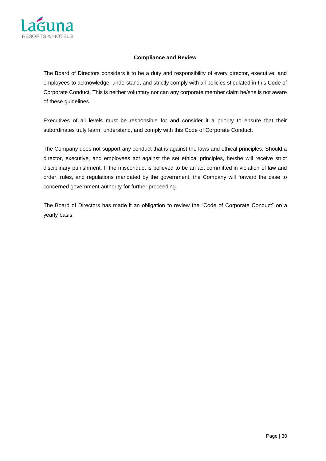

# **Compliance and Review**

The Board of Directors considers it to be a duty and responsibility of every director, executive, and employees to acknowledge, understand, and strictly comply with all policies stipulated in this Code of Corporate Conduct. This is neither voluntary nor can any corporate member claim he/she is not aware of these guidelines.

Executives of all levels must be responsible for and consider it a priority to ensure that their subordinates truly learn, understand, and comply with this Code of Corporate Conduct.

The Company does not support any conduct that is against the laws and ethical principles. Should a director, executive, and employees act against the set ethical principles, he/she will receive strict disciplinary punishment. If the misconduct is believed to be an act committed in violation of law and order, rules, and regulations mandated by the government, the Company will forward the case to concerned government authority for further proceeding.

The Board of Directors has made it an obligation to review the "Code of Corporate Conduct" on a yearly basis.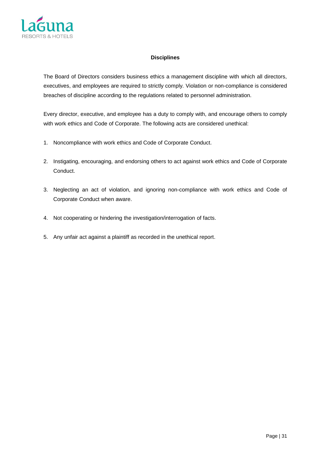

#### **Disciplines**

The Board of Directors considers business ethics a management discipline with which all directors, executives, and employees are required to strictly comply. Violation or non-compliance is considered breaches of discipline according to the regulations related to personnel administration.

Every director, executive, and employee has a duty to comply with, and encourage others to comply with work ethics and Code of Corporate. The following acts are considered unethical:

- 1. Noncompliance with work ethics and Code of Corporate Conduct.
- 2. Instigating, encouraging, and endorsing others to act against work ethics and Code of Corporate Conduct.
- 3. Neglecting an act of violation, and ignoring non-compliance with work ethics and Code of Corporate Conduct when aware.
- 4. Not cooperating or hindering the investigation/interrogation of facts.
- 5. Any unfair act against a plaintiff as recorded in the unethical report.